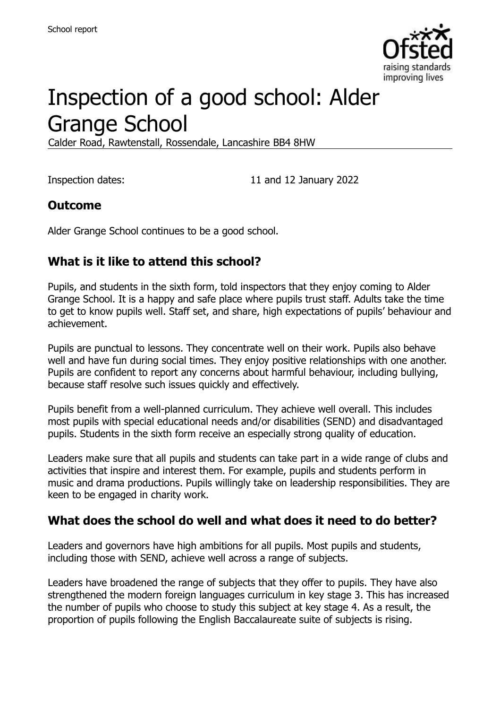

# Inspection of a good school: Alder Grange School

Calder Road, Rawtenstall, Rossendale, Lancashire BB4 8HW

Inspection dates: 11 and 12 January 2022

## **Outcome**

Alder Grange School continues to be a good school.

## **What is it like to attend this school?**

Pupils, and students in the sixth form, told inspectors that they enjoy coming to Alder Grange School. It is a happy and safe place where pupils trust staff. Adults take the time to get to know pupils well. Staff set, and share, high expectations of pupils' behaviour and achievement.

Pupils are punctual to lessons. They concentrate well on their work. Pupils also behave well and have fun during social times. They enjoy positive relationships with one another. Pupils are confident to report any concerns about harmful behaviour, including bullying, because staff resolve such issues quickly and effectively.

Pupils benefit from a well-planned curriculum. They achieve well overall. This includes most pupils with special educational needs and/or disabilities (SEND) and disadvantaged pupils. Students in the sixth form receive an especially strong quality of education.

Leaders make sure that all pupils and students can take part in a wide range of clubs and activities that inspire and interest them. For example, pupils and students perform in music and drama productions. Pupils willingly take on leadership responsibilities. They are keen to be engaged in charity work.

## **What does the school do well and what does it need to do better?**

Leaders and governors have high ambitions for all pupils. Most pupils and students, including those with SEND, achieve well across a range of subjects.

Leaders have broadened the range of subjects that they offer to pupils. They have also strengthened the modern foreign languages curriculum in key stage 3. This has increased the number of pupils who choose to study this subject at key stage 4. As a result, the proportion of pupils following the English Baccalaureate suite of subjects is rising.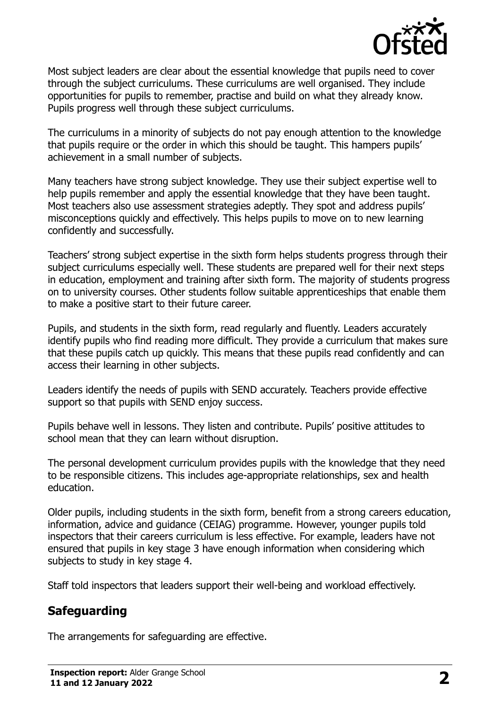

Most subject leaders are clear about the essential knowledge that pupils need to cover through the subject curriculums. These curriculums are well organised. They include opportunities for pupils to remember, practise and build on what they already know. Pupils progress well through these subject curriculums.

The curriculums in a minority of subjects do not pay enough attention to the knowledge that pupils require or the order in which this should be taught. This hampers pupils' achievement in a small number of subjects.

Many teachers have strong subject knowledge. They use their subject expertise well to help pupils remember and apply the essential knowledge that they have been taught. Most teachers also use assessment strategies adeptly. They spot and address pupils' misconceptions quickly and effectively. This helps pupils to move on to new learning confidently and successfully.

Teachers' strong subject expertise in the sixth form helps students progress through their subject curriculums especially well. These students are prepared well for their next steps in education, employment and training after sixth form. The majority of students progress on to university courses. Other students follow suitable apprenticeships that enable them to make a positive start to their future career.

Pupils, and students in the sixth form, read regularly and fluently. Leaders accurately identify pupils who find reading more difficult. They provide a curriculum that makes sure that these pupils catch up quickly. This means that these pupils read confidently and can access their learning in other subjects.

Leaders identify the needs of pupils with SEND accurately. Teachers provide effective support so that pupils with SEND enjoy success.

Pupils behave well in lessons. They listen and contribute. Pupils' positive attitudes to school mean that they can learn without disruption.

The personal development curriculum provides pupils with the knowledge that they need to be responsible citizens. This includes age-appropriate relationships, sex and health education.

Older pupils, including students in the sixth form, benefit from a strong careers education, information, advice and guidance (CEIAG) programme. However, younger pupils told inspectors that their careers curriculum is less effective. For example, leaders have not ensured that pupils in key stage 3 have enough information when considering which subjects to study in key stage 4.

Staff told inspectors that leaders support their well-being and workload effectively.

## **Safeguarding**

The arrangements for safeguarding are effective.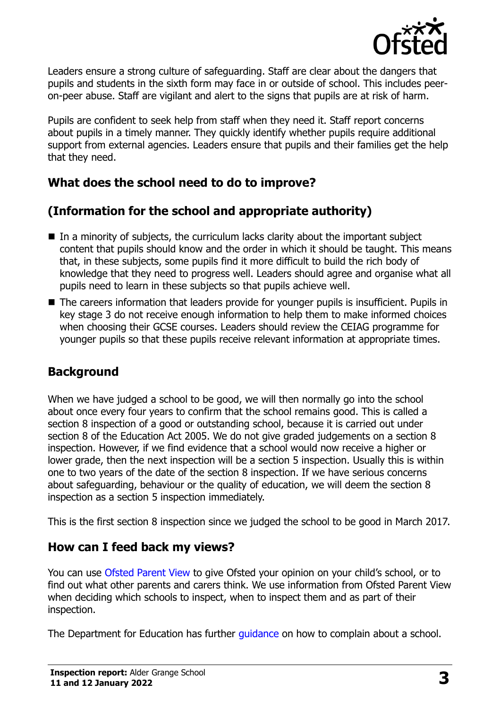

Leaders ensure a strong culture of safeguarding. Staff are clear about the dangers that pupils and students in the sixth form may face in or outside of school. This includes peeron-peer abuse. Staff are vigilant and alert to the signs that pupils are at risk of harm.

Pupils are confident to seek help from staff when they need it. Staff report concerns about pupils in a timely manner. They quickly identify whether pupils require additional support from external agencies. Leaders ensure that pupils and their families get the help that they need.

## **What does the school need to do to improve?**

## **(Information for the school and appropriate authority)**

- In a minority of subjects, the curriculum lacks clarity about the important subject content that pupils should know and the order in which it should be taught. This means that, in these subjects, some pupils find it more difficult to build the rich body of knowledge that they need to progress well. Leaders should agree and organise what all pupils need to learn in these subjects so that pupils achieve well.
- The careers information that leaders provide for vounger pupils is insufficient. Pupils in key stage 3 do not receive enough information to help them to make informed choices when choosing their GCSE courses. Leaders should review the CEIAG programme for younger pupils so that these pupils receive relevant information at appropriate times.

## **Background**

When we have judged a school to be good, we will then normally go into the school about once every four years to confirm that the school remains good. This is called a section 8 inspection of a good or outstanding school, because it is carried out under section 8 of the Education Act 2005. We do not give graded judgements on a section 8 inspection. However, if we find evidence that a school would now receive a higher or lower grade, then the next inspection will be a section 5 inspection. Usually this is within one to two years of the date of the section 8 inspection. If we have serious concerns about safeguarding, behaviour or the quality of education, we will deem the section 8 inspection as a section 5 inspection immediately.

This is the first section 8 inspection since we judged the school to be good in March 2017.

## **How can I feed back my views?**

You can use [Ofsted Parent View](https://parentview.ofsted.gov.uk/) to give Ofsted your opinion on your child's school, or to find out what other parents and carers think. We use information from Ofsted Parent View when deciding which schools to inspect, when to inspect them and as part of their inspection.

The Department for Education has further quidance on how to complain about a school.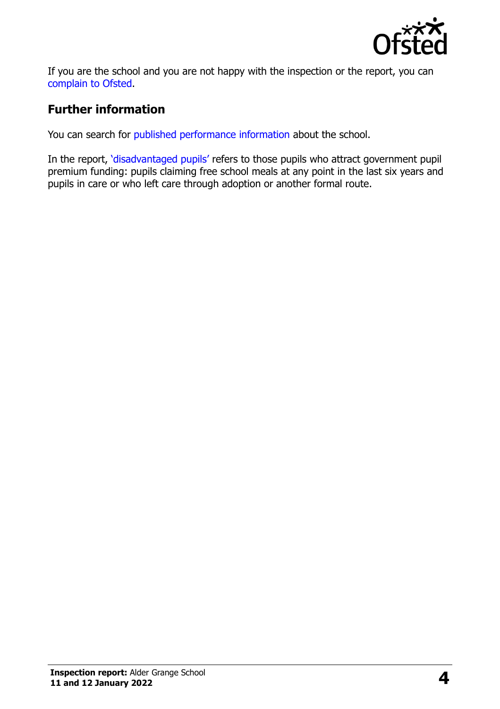

If you are the school and you are not happy with the inspection or the report, you can [complain to Ofsted.](https://www.gov.uk/complain-ofsted-report)

## **Further information**

You can search for [published performance information](http://www.compare-school-performance.service.gov.uk/) about the school.

In the report, '[disadvantaged pupils](http://www.gov.uk/guidance/pupil-premium-information-for-schools-and-alternative-provision-settings)' refers to those pupils who attract government pupil premium funding: pupils claiming free school meals at any point in the last six years and pupils in care or who left care through adoption or another formal route.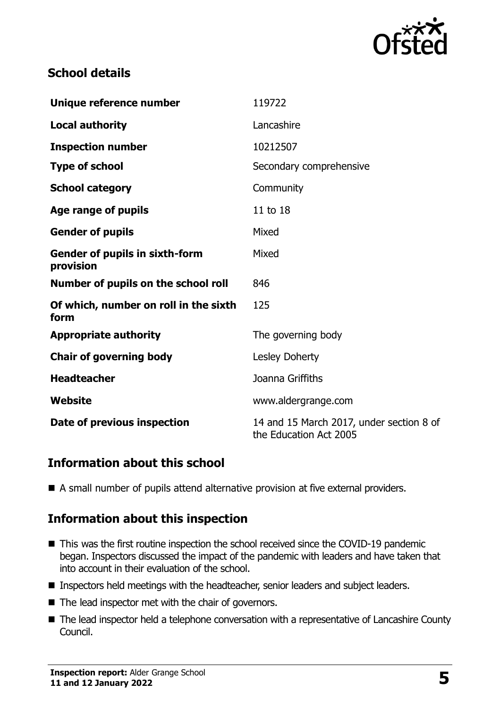

## **School details**

| Unique reference number                            | 119722                                                             |
|----------------------------------------------------|--------------------------------------------------------------------|
| <b>Local authority</b>                             | Lancashire                                                         |
| <b>Inspection number</b>                           | 10212507                                                           |
| <b>Type of school</b>                              | Secondary comprehensive                                            |
| <b>School category</b>                             | Community                                                          |
| Age range of pupils                                | 11 to 18                                                           |
| <b>Gender of pupils</b>                            | Mixed                                                              |
| <b>Gender of pupils in sixth-form</b><br>provision | Mixed                                                              |
| Number of pupils on the school roll                | 846                                                                |
| Of which, number on roll in the sixth<br>form      | 125                                                                |
| <b>Appropriate authority</b>                       | The governing body                                                 |
| <b>Chair of governing body</b>                     | Lesley Doherty                                                     |
| <b>Headteacher</b>                                 | Joanna Griffiths                                                   |
| Website                                            | www.aldergrange.com                                                |
| Date of previous inspection                        | 14 and 15 March 2017, under section 8 of<br>the Education Act 2005 |

## **Information about this school**

A small number of pupils attend alternative provision at five external providers.

## **Information about this inspection**

- This was the first routine inspection the school received since the COVID-19 pandemic began. Inspectors discussed the impact of the pandemic with leaders and have taken that into account in their evaluation of the school.
- **Inspectors held meetings with the headteacher, senior leaders and subject leaders.**
- $\blacksquare$  The lead inspector met with the chair of governors.
- The lead inspector held a telephone conversation with a representative of Lancashire County Council.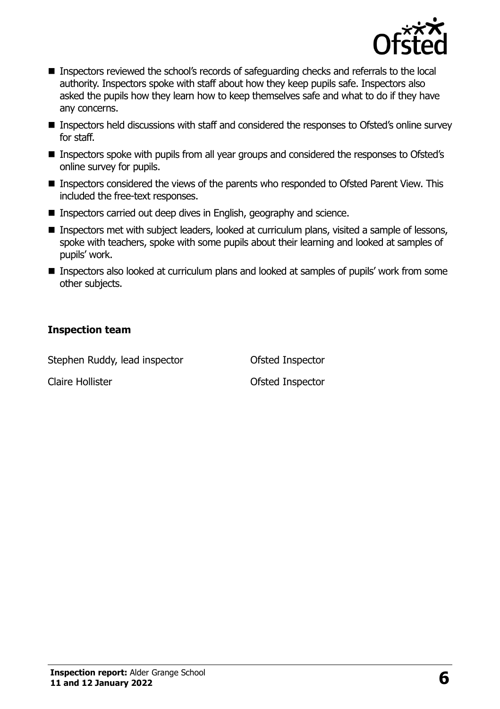

- **Inspectors reviewed the school's records of safeguarding checks and referrals to the local** authority. Inspectors spoke with staff about how they keep pupils safe. Inspectors also asked the pupils how they learn how to keep themselves safe and what to do if they have any concerns.
- Inspectors held discussions with staff and considered the responses to Ofsted's online survey for staff.
- **Inspectors spoke with pupils from all year groups and considered the responses to Ofsted's** online survey for pupils.
- Inspectors considered the views of the parents who responded to Ofsted Parent View. This included the free-text responses.
- Inspectors carried out deep dives in English, geography and science.
- **Inspectors met with subject leaders, looked at curriculum plans, visited a sample of lessons,** spoke with teachers, spoke with some pupils about their learning and looked at samples of pupils' work.
- Inspectors also looked at curriculum plans and looked at samples of pupils' work from some other subjects.

#### **Inspection team**

Stephen Ruddy, lead inspector **Ofsted Inspector** 

Claire Hollister **Claire Hollister** Claire **Properties**